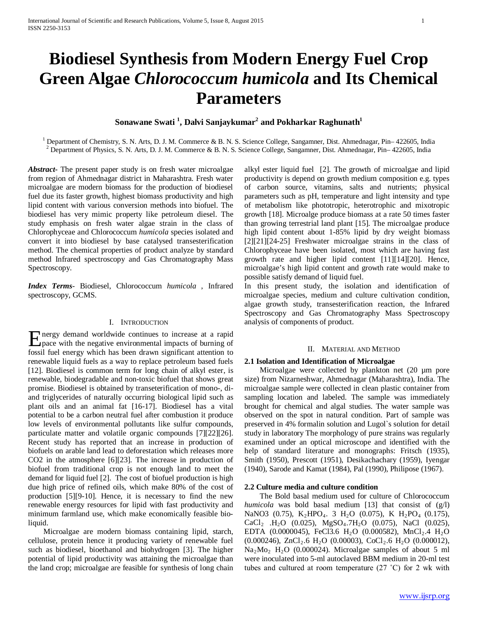# **Biodiesel Synthesis from Modern Energy Fuel Crop Green Algae** *Chlorococcum humicola* **and Its Chemical Parameters**

 $\boldsymbol{\mathrm{Son}}$ awane  $\boldsymbol{\mathrm{Swati}}$   $^1$ ,  $\boldsymbol{\mathrm{Dalvi}}$   $\boldsymbol{\mathrm{Sanj}}$ aykumar $^2$  and  $\boldsymbol{\mathrm{Pokhar}}$ kar  $\boldsymbol{\mathrm{Raghun}}$ 

<sup>1</sup> Department of Chemistry, S. N. Arts, D. J. M. Commerce & B. N. S. Science College, Sangamner, Dist. Ahmednagar, Pin–422605, India <sup>2</sup> Department of Physics, S. N. Arts, D. J. M. Commerce & B. N. S. Science College, San

*Abstract***-** The present paper study is on fresh water microalgae from region of Ahmednagar district in Maharashtra. Fresh water microalgae are modern biomass for the production of biodiesel fuel due its faster growth, highest biomass productivity and high lipid content with various conversion methods into biofuel. The biodiesel has very mimic property like petroleum diesel. The study emphasis on fresh water algae strain in the class of Chlorophyceae and Chlorococcum *humicola* species isolated and convert it into biodiesel by base catalysed transesterification method. The chemical properties of product analyze by standard method Infrared spectroscopy and Gas Chromatography Mass Spectroscopy.

*Index Terms*- Biodiesel, Chlorococcum *humicola* , Infrared spectroscopy, GCMS.

## I. INTRODUCTION

nergy demand worldwide continues to increase at a rapid **E** nergy demand worldwide continues to increase at a rapid pace with the negative environmental impacts of burning of fossil fuel energy which has been drawn significant attention to renewable liquid fuels as a way to replace petroleum based fuels [12]. Biodiesel is common term for long chain of alkyl ester, is renewable, biodegradable and non-toxic biofuel that shows great promise. Biodiesel is obtained by transeterification of mono-, diand triglycerides of naturally occurring biological lipid such as plant oils and an animal fat [16-17]. Biodiesel has a vital potential to be a carbon neutral fuel after combustion it produce low levels of environmental pollutants like sulfur compounds, particulate matter and volatile organic compounds [7][22][26]. Recent study has reported that an increase in production of biofuels on arable land lead to deforestation which releases more CO2 in the atmosphere [6][23]. The increase in production of biofuel from traditional crop is not enough land to meet the demand for liquid fuel [2]. The cost of biofuel production is high due high price of refined oils, which make 80% of the cost of production [5][9-10]. Hence, it is necessary to find the new renewable energy resources for lipid with fast productivity and minimum farmland use, which make economically feasible bioliquid.

 Microalgae are modern biomass containing lipid, starch, cellulose, protein hence it producing variety of renewable fuel such as biodiesel, bioethanol and biohydrogen [3]. The higher potential of lipid productivity was attaining the microalgae than the land crop; microalgae are feasible for synthesis of long chain alkyl ester liquid fuel [2]. The growth of microalgae and lipid productivity is depend on growth medium composition e.g. types of carbon source, vitamins, salts and nutrients; physical parameters such as pH, temperature and light intensity and type of metabolism like phototropic, heterotrophic and mixotropic growth [18]. Microalge produce biomass at a rate 50 times faster than growing terrestrial land plant [15]. The microalgae produce high lipid content about 1-85% lipid by dry weight biomass [2][21][24-25] Freshwater microalgae strains in the class of Chlorophyceae have been isolated, most which are having fast growth rate and higher lipid content [11][14][20]. Hence, microalgae's high lipid content and growth rate would make to possible satisfy demand of liquid fuel.

In this present study, the isolation and identification of microalgae species, medium and culture cultivation condition, algae growth study, transesterification reaction, the Infrared Spectroscopy and Gas Chromatography Mass Spectroscopy analysis of components of product.

#### II. MATERIAL AND METHOD

#### **2.1 Isolation and Identification of Microalgae**

Microalgae were collected by plankton net (20 µm pore size) from Nizarneshwar, Ahmednagar (Maharashtra), India. The microalgae sample were collected in clean plastic container from sampling location and labeled. The sample was immediately brought for chemical and algal studies. The water sample was observed on the spot in natural condition. Part of sample was preserved in 4% formalin solution and Lugol`s solution for detail study in laboratory The morphology of pure strains was regularly examined under an optical microscope and identified with the help of standard literature and monographs: Fritsch (1935), Smith (1950), Prescott (1951), Desikachachary (1959), Iyengar (1940), Sarode and Kamat (1984), Pal (1990), Philipose (1967).

#### **2.2 Culture media and culture condition**

 The Bold basal medium used for culture of Chlorococcum *humicola* was bold basal medium [13] that consist of (g/l) NaNO3 (0.75), K<sub>2</sub>HPO<sub>4</sub>. 3 H<sub>2</sub>O (0.075), K H<sub>2</sub>PO<sub>4</sub> (0.175), CaCl<sub>2</sub> .H<sub>2</sub>O (0.025), MgSO<sub>4</sub>.7H<sub>2</sub>O (0.075), NaCl (0.025), EDTA (0.0000045), FeCl3.6 H<sub>2</sub>O (0.000582), MnCl<sub>2</sub>.4 H<sub>2</sub>O  $(0.000246)$ , ZnCl<sub>2</sub>.6 H<sub>2</sub>O  $(0.00003)$ , CoCl<sub>2</sub>.6 H<sub>2</sub>O  $(0.000012)$ , Na2Mo2 H2O (0.000024). Microalgae samples of about 5 ml were inoculated into 5-ml autoclaved BBM medium in 20-ml test tubes and cultured at room temperature (27 ˚C) for 2 wk with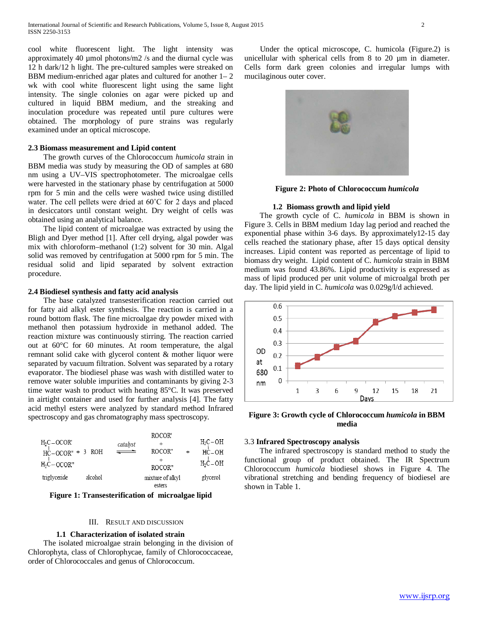cool white fluorescent light. The light intensity was approximately 40 µmol photons/m2 /s and the diurnal cycle was 12 h dark/12 h light. The pre-cultured samples were streaked on BBM medium-enriched agar plates and cultured for another 1– 2 wk with cool white fluorescent light using the same light intensity. The single colonies on agar were picked up and cultured in liquid BBM medium, and the streaking and inoculation procedure was repeated until pure cultures were obtained. The morphology of pure strains was regularly examined under an optical microscope.

#### **2.3 Biomass measurement and Lipid content**

 The growth curves of the Chlorococcum *humicola* strain in BBM media was study by measuring the OD of samples at 680 nm using a UV–VIS spectrophotometer. The microalgae cells were harvested in the stationary phase by centrifugation at 5000 rpm for 5 min and the cells were washed twice using distilled water. The cell pellets were dried at 60˚C for 2 days and placed in desiccators until constant weight. Dry weight of cells was obtained using an analytical balance.

 The lipid content of microalgae was extracted by using the Bligh and Dyer method [1]. After cell drying, algal powder was mix with chloroform–methanol (1:2) solvent for 30 min. Algal solid was removed by centrifugation at 5000 rpm for 5 min. The residual solid and lipid separated by solvent extraction procedure.

#### **2.4 Biodiesel synthesis and fatty acid analysis**

 The base catalyzed transesterification reaction carried out for fatty aid alkyl ester synthesis. The reaction is carried in a round bottom flask. The fine microalgae dry powder mixed with methanol then potassium hydroxide in methanol added. The reaction mixture was continuously stirring. The reaction carried out at 60°C for 60 minutes. At room temperature, the algal remnant solid cake with glycerol content & mother liquor were separated by vacuum filtration. Solvent was separated by a rotary evaporator. The biodiesel phase was wash with distilled water to remove water soluble impurities and contaminants by giving 2-3 time water wash to product with heating 85°C. It was preserved in airtight container and used for further analysis [4]. The fatty acid methyl esters were analyzed by standard method Infrared spectroscopy and gas chromatography mass spectroscopy.

| $H2C-OCOR'$<br>$HC-OCOR" + 3$ ROH<br>$H_2C-OCOR"$ |         | catalyst | ROCOR'<br>ROCOR"<br>ROCOR" | $H_2C-OH$<br>$HC$ – $OH$<br>$H_2C-OH$ |
|---------------------------------------------------|---------|----------|----------------------------|---------------------------------------|
| triglyceride                                      | alcohol |          | mixture of alkyl<br>esters | glycerol                              |

**Figure 1: Transesterification of microalgae lipid**

## III. RESULT AND DISCUSSION

#### **1.1 Characterization of isolated strain**

 The isolated microalgae strain belonging in the division of Chlorophyta, class of Chlorophycae, family of Chlorococcaceae, order of Chlorococcales and genus of Chlorococcum.

 Under the optical microscope, C. humicola (Figure.2) is unicellular with spherical cells from 8 to 20 µm in diameter. Cells form dark green colonies and irregular lumps with mucilaginous outer cover.



**Figure 2: Photo of Chlorococcum** *humicola*

#### **1.2 Biomass growth and lipid yield**

 The growth cycle of C. *humicola* in BBM is shown in Figure 3. Cells in BBM medium 1day lag period and reached the exponential phase within 3-6 days. By approximately12-15 day cells reached the stationary phase, after 15 days optical density increases. Lipid content was reported as percentage of lipid to biomass dry weight. Lipid content of C. *humicola* strain in BBM medium was found 43.86%. Lipid productivity is expressed as mass of lipid produced per unit volume of microalgal broth per day. The lipid yield in C. *humicola* was 0.029g/l/d achieved.



**Figure 3: Growth cycle of Chlorococcum** *humicola* **in BBM media**

## 3.3 **Infrared Spectroscopy analysis**

 The infrared spectroscopy is standard method to study the functional group of product obtained. The IR Spectrum Chlorococcum *humicola* biodiesel shows in Figure 4. The vibrational stretching and bending frequency of biodiesel are shown in Table 1.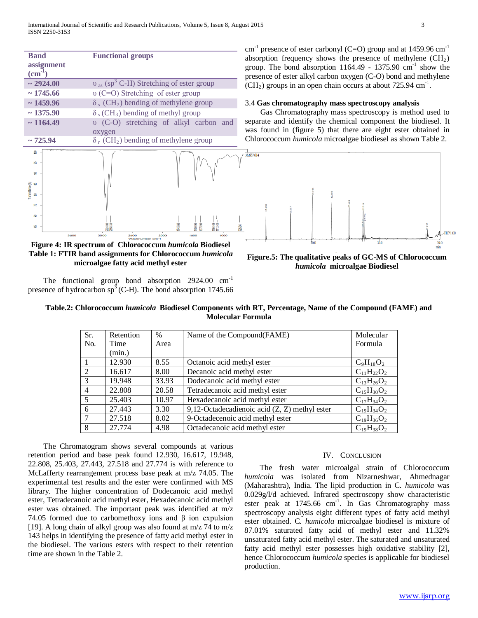| <b>Band</b>                  |      |                                                       | <b>Functional groups</b>                                        |      |        |        |            |
|------------------------------|------|-------------------------------------------------------|-----------------------------------------------------------------|------|--------|--------|------------|
| assignment                   |      |                                                       |                                                                 |      |        |        |            |
| $\text{(cm}^{-1})$           |      |                                                       |                                                                 |      |        |        |            |
|                              |      |                                                       |                                                                 |      |        |        |            |
| $\sim 2924.00$               |      |                                                       | $v_{\text{as}}$ (sp <sup>3</sup> C-H) Stretching of ester group |      |        |        |            |
| $\sim$ 1745.66               |      |                                                       | $\upsilon$ (C=O) Stretching of ester group                      |      |        |        |            |
| $\sim$ 1459.96               |      |                                                       | $\delta_s$ (CH <sub>2</sub> ) bending of methylene group        |      |        |        |            |
| $\sim$ 1375.90               |      | $\delta$ s (CH <sub>3</sub> ) bending of methyl group |                                                                 |      |        |        |            |
| $\sim$ 1164.49               |      |                                                       | (C-O) stretching of alkyl carbon                                |      |        |        | and        |
|                              |      | oxygen                                                |                                                                 |      |        |        |            |
| $\sim$ 725.94                |      |                                                       | $\delta_{r}$ (CH <sub>2</sub> ) bending of methylene group      |      |        |        |            |
| <b><i>PALLAMANA</i></b><br>g |      |                                                       |                                                                 |      |        |        |            |
| <b>鉴</b>                     |      |                                                       |                                                                 |      |        |        |            |
| æ                            |      |                                                       |                                                                 |      |        |        |            |
| 品                            |      |                                                       |                                                                 |      |        |        |            |
| rarsmittance <sup>[%]</sup>  |      |                                                       |                                                                 |      |        |        |            |
| ຂ                            |      |                                                       |                                                                 |      |        |        |            |
| ю                            |      |                                                       |                                                                 |      |        |        |            |
| S                            |      |                                                       |                                                                 |      |        |        |            |
| 58                           |      |                                                       |                                                                 |      | 745.66 | 375.90 | <b>MSZ</b> |
|                              | 3500 | 3000                                                  | 2500                                                            | 2000 |        | 1500   | 1000       |

**Figure 4: IR spectrum of Chlorococcum** *humicola* **Biodiesel Table 1: FTIR band assignments for Chlorococcum** *humicola* **microalgae fatty acid methyl ester**

The functional group bond absorption 2924.00 cm<sup>-1</sup> presence of hydrocarbon  $sp<sup>3</sup>(C-H)$ . The bond absorption 1745.66

cm<sup>-1</sup> presence of ester carbonyl (C=O) group and at  $1459.96$  cm<sup>-1</sup> absorption frequency shows the presence of methylene  $(CH<sub>2</sub>)$ group. The bond absorption  $1164.49$  -  $1375.90$  cm<sup>-1</sup> show the presence of ester alkyl carbon oxygen (C-O) bond and methylene  $\text{(CH}_2)$  groups in an open chain occurs at about 725.94 cm<sup>-1</sup>.

#### 3.4 **Gas chromatography mass spectroscopy analysis**

 Gas Chromatography mass spectroscopy is method used to separate and identify the chemical component the biodiesel. It was found in (figure 5) that there are eight ester obtained in Chlorococcum *humicola* microalgae biodiesel as shown Table 2.



**Figure.5: The qualitative peaks of GC-MS of Chlorococcum**  *humicola* **microalgae Biodiesel**

# **Table.2: Chlorococcum** *humicola* **Biodiesel Components with RT, Percentage, Name of the Compound (FAME) and Molecular Formula**

| Sr.            | Retention | $\%$  | Name of the Compound(FAME)                      | Molecular         |
|----------------|-----------|-------|-------------------------------------------------|-------------------|
| No.            | Time      | Area  |                                                 | Formula           |
|                | (min.)    |       |                                                 |                   |
|                | 12.930    | 8.55  | Octanoic acid methyl ester                      | $C_9H_{18}O_2$    |
| 2              | 16.617    | 8.00  | Decanoic acid methyl ester                      | $C_{11}H_{22}O_2$ |
| 3              | 19.948    | 33.93 | Dodecanoic acid methyl ester                    | $C_{13}H_{26}O_2$ |
| $\overline{4}$ | 22.808    | 20.58 | Tetradecanoic acid methyl ester                 | $C_{15}H_{30}O_2$ |
| 5              | 25.403    | 10.97 | Hexadecanoic acid methyl ester                  | $C_{17}H_{34}O_2$ |
| 6              | 27.443    | 3.30  | 9,12-Octadecadienoic acid $(Z, Z)$ methyl ester | $C_{19}H_{34}O_2$ |
|                | 27.518    | 8.02  | 9-Octadecenoic acid methyl ester                | $C_{19}H_{36}O_2$ |
| 8              | 27.774    | 4.98  | Octadecanoic acid methyl ester                  | $C_{19}H_{38}O_2$ |

 The Chromatogram shows several compounds at various retention period and base peak found 12.930, 16.617, 19.948, 22.808, 25.403, 27.443, 27.518 and 27.774 is with reference to McLafferty rearrangement process base peak at m/z 74.05. The experimental test results and the ester were confirmed with MS library. The higher concentration of Dodecanoic acid methyl ester, Tetradecanoic acid methyl ester, Hexadecanoic acid methyl ester was obtained. The important peak was identified at m/z 74.05 formed due to carbomethoxy ions and β ion expulsion [19]. A long chain of alkyl group was also found at  $m/z$  74 to  $m/z$ 143 helps in identifying the presence of fatty acid methyl ester in the biodiesel. The various esters with respect to their retention time are shown in the Table 2.

#### IV. CONCLUSION

 The fresh water microalgal strain of Chlorococcum *humicola* was isolated from Nizarneshwar, Ahmednagar (Maharashtra), India. The lipid production in C*. humicola* was 0.029g/l/d achieved. Infrared spectroscopy show characteristic ester peak at 1745.66 cm<sup>-1</sup>. In Gas Chromatography mass spectroscopy analysis eight different types of fatty acid methyl ester obtained. C*. humicola* microalgae biodiesel is mixture of 87.01% saturated fatty acid of methyl ester and 11.32% unsaturated fatty acid methyl ester. The saturated and unsaturated fatty acid methyl ester possesses high oxidative stability [2], hence Chlorococcum *humicola* species is applicable for biodiesel production.